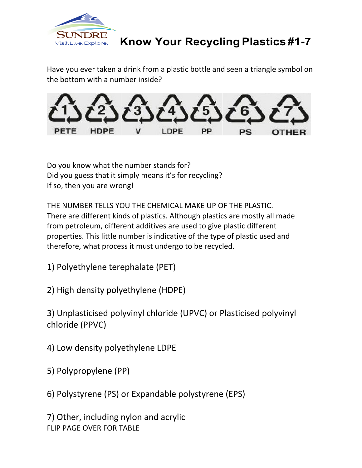

## **Know Your Recycling Plastics #1-7**

Have you ever taken a drink from a plastic bottle and seen a triangle symbol on the bottom with a number inside?



Do you know what the number stands for? Did you guess that it simply means it's for recycling? If so, then you are wrong!

THE NUMBER TELLS YOU THE CHEMICAL MAKE UP OF THE PLASTIC. There are different kinds of plastics. Although plastics are mostly all made from petroleum, different additives are used to give plastic different properties. This little number is indicative of the type of plastic used and therefore, what process it must undergo to be recycled.

1) Polyethylene terephalate (PET)

2) High density polyethylene (HDPE)

3) Unplasticised polyvinyl chloride (UPVC) or Plasticised polyvinyl chloride (PPVC)

4) Low density polyethylene LDPE

- 5) Polypropylene (PP)
- 6) Polystyrene (PS) or Expandable polystyrene (EPS)

7) Other, including nylon and acrylic FLIP PAGE OVER FOR TABLE